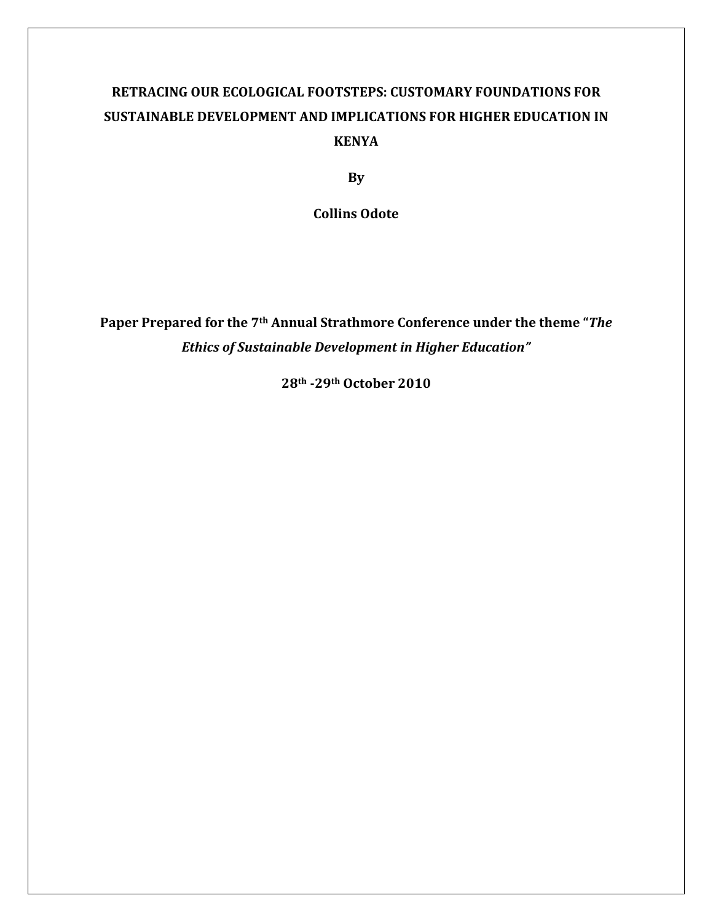## **RETRACING OUR ECOLOGICAL FOOTSTEPS: CUSTOMARY FOUNDATIONS FOR SUSTAINABLE DEVELOPMENT AND IMPLICATIONS FOR HIGHER EDUCATION IN KENYA**

**By** 

**Collins Odote** 

**Paper Prepared for the 7th Annual Strathmore Conference under the theme "***The Ethics of Sustainable Development in Higher Education"* 

**28th -29th October 2010**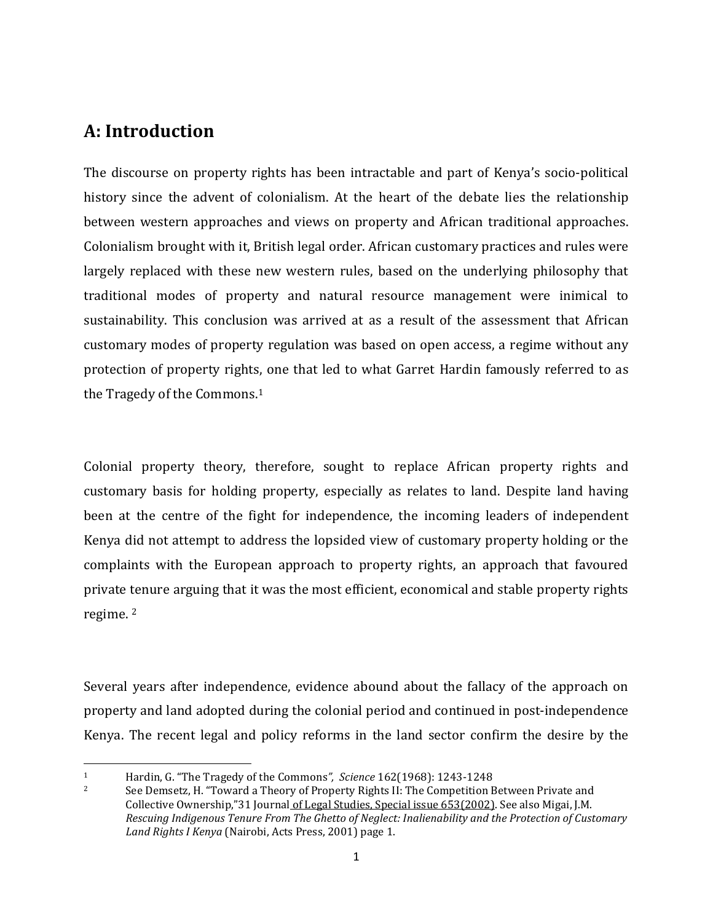#### **A: Introduction**

 $\overline{a}$ 

The discourse on property rights has been intractable and part of Kenya's socio-political history since the advent of colonialism. At the heart of the debate lies the relationship between western approaches and views on property and African traditional approaches. Colonialism brought with it, British legal order. African customary practices and rules were largely replaced with these new western rules, based on the underlying philosophy that traditional modes of property and natural resource management were inimical to sustainability. This conclusion was arrived at as a result of the assessment that African customary modes of property regulation was based on open access, a regime without any protection of property rights, one that led to what Garret Hardin famously referred to as the Tragedy of the Commons.<sup>1</sup>

Colonial property theory, therefore, sought to replace African property rights and customary basis for holding property, especially as relates to land. Despite land having been at the centre of the fight for independence, the incoming leaders of independent Kenya did not attempt to address the lopsided view of customary property holding or the complaints with the European approach to property rights, an approach that favoured private tenure arguing that it was the most efficient, economical and stable property rights regime. <sup>2</sup>

Several years after independence, evidence abound about the fallacy of the approach on property and land adopted during the colonial period and continued in post-independence Kenya. The recent legal and policy reforms in the land sector confirm the desire by the

<sup>1</sup> Hardin, G. "The Tragedy of the Commons*", Science* 162(1968): 1243-1248

<sup>&</sup>lt;sup>2</sup> See Demsetz, H. "Toward a Theory of Property Rights II: The Competition Between Private and Collective Ownership,"31 Journal of Legal Studies, Special issue 653(2002). See also Migai, J.M. *Rescuing Indigenous Tenure From The Ghetto of Neglect: Inalienability and the Protection of Customary Land Rights I Kenya* (Nairobi, Acts Press, 2001) page 1.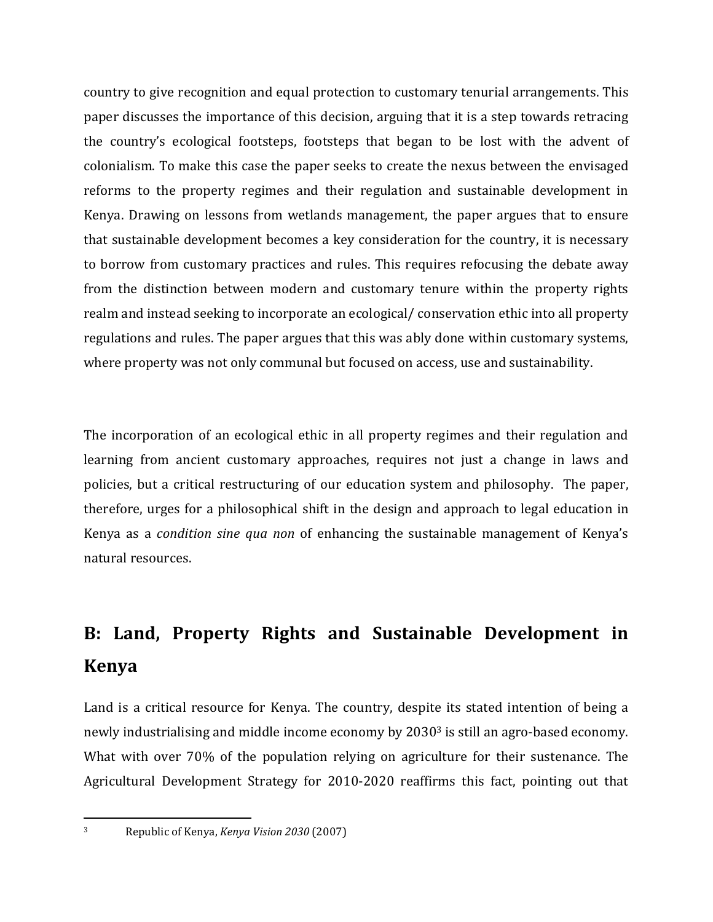country to give recognition and equal protection to customary tenurial arrangements. This paper discusses the importance of this decision, arguing that it is a step towards retracing the country's ecological footsteps, footsteps that began to be lost with the advent of colonialism. To make this case the paper seeks to create the nexus between the envisaged reforms to the property regimes and their regulation and sustainable development in Kenya. Drawing on lessons from wetlands management, the paper argues that to ensure that sustainable development becomes a key consideration for the country, it is necessary to borrow from customary practices and rules. This requires refocusing the debate away from the distinction between modern and customary tenure within the property rights realm and instead seeking to incorporate an ecological/ conservation ethic into all property regulations and rules. The paper argues that this was ably done within customary systems, where property was not only communal but focused on access, use and sustainability.

The incorporation of an ecological ethic in all property regimes and their regulation and learning from ancient customary approaches, requires not just a change in laws and policies, but a critical restructuring of our education system and philosophy. The paper, therefore, urges for a philosophical shift in the design and approach to legal education in Kenya as a *condition sine qua non* of enhancing the sustainable management of Kenya's natural resources.

# **B: Land, Property Rights and Sustainable Development in Kenya**

Land is a critical resource for Kenya. The country, despite its stated intention of being a newly industrialising and middle income economy by 20303 is still an agro-based economy. What with over 70% of the population relying on agriculture for their sustenance. The Agricultural Development Strategy for 2010-2020 reaffirms this fact, pointing out that

<sup>3</sup> Republic of Kenya, *Kenya Vision 2030* (2007)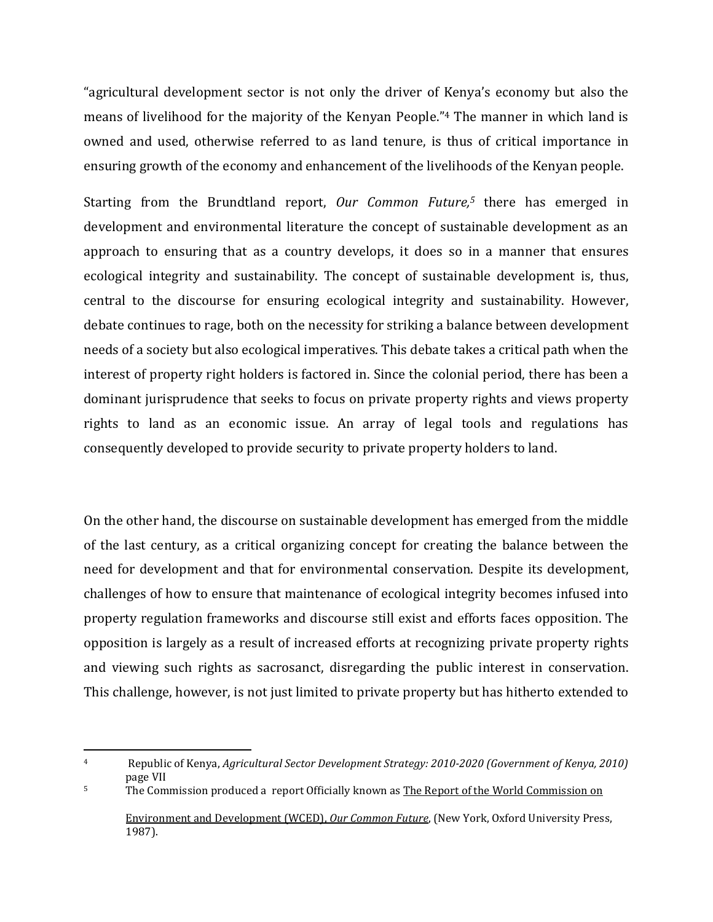"agricultural development sector is not only the driver of Kenya's economy but also the means of livelihood for the majority of the Kenyan People."4 The manner in which land is owned and used, otherwise referred to as land tenure, is thus of critical importance in ensuring growth of the economy and enhancement of the livelihoods of the Kenyan people.

Starting from the Brundtland report, *Our Common Future,5* there has emerged in development and environmental literature the concept of sustainable development as an approach to ensuring that as a country develops, it does so in a manner that ensures ecological integrity and sustainability. The concept of sustainable development is, thus, central to the discourse for ensuring ecological integrity and sustainability. However, debate continues to rage, both on the necessity for striking a balance between development needs of a society but also ecological imperatives. This debate takes a critical path when the interest of property right holders is factored in. Since the colonial period, there has been a dominant jurisprudence that seeks to focus on private property rights and views property rights to land as an economic issue. An array of legal tools and regulations has consequently developed to provide security to private property holders to land.

On the other hand, the discourse on sustainable development has emerged from the middle of the last century, as a critical organizing concept for creating the balance between the need for development and that for environmental conservation. Despite its development, challenges of how to ensure that maintenance of ecological integrity becomes infused into property regulation frameworks and discourse still exist and efforts faces opposition. The opposition is largely as a result of increased efforts at recognizing private property rights and viewing such rights as sacrosanct, disregarding the public interest in conservation. This challenge, however, is not just limited to private property but has hitherto extended to

<sup>4</sup> Republic of Kenya, *Agricultural Sector Development Strategy: 2010-2020 (Government of Kenya, 2010)* page VII

<sup>&</sup>lt;sup>5</sup> The Commission produced a report Officially known as The Report of the World Commission on Environment and Development (WCED), *Our Common Future*, (New York, Oxford University Press, 1987).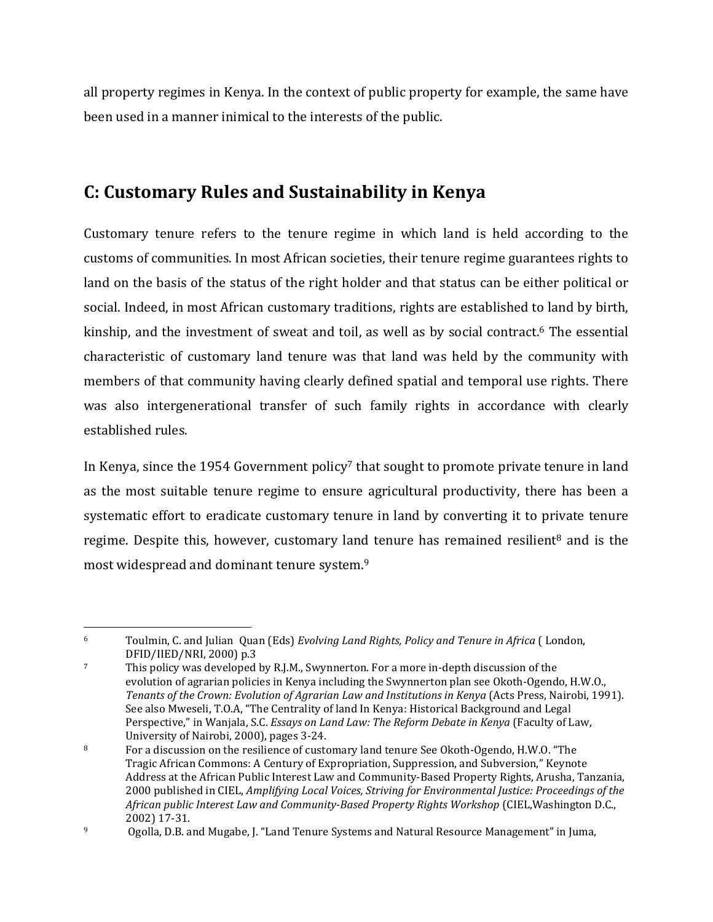all property regimes in Kenya. In the context of public property for example, the same have been used in a manner inimical to the interests of the public.

## **C: Customary Rules and Sustainability in Kenya**

Customary tenure refers to the tenure regime in which land is held according to the customs of communities. In most African societies, their tenure regime guarantees rights to land on the basis of the status of the right holder and that status can be either political or social. Indeed, in most African customary traditions, rights are established to land by birth, kinship, and the investment of sweat and toil, as well as by social contract.<sup>6</sup> The essential characteristic of customary land tenure was that land was held by the community with members of that community having clearly defined spatial and temporal use rights. There was also intergenerational transfer of such family rights in accordance with clearly established rules.

In Kenya, since the 1954 Government policy<sup>7</sup> that sought to promote private tenure in land as the most suitable tenure regime to ensure agricultural productivity, there has been a systematic effort to eradicate customary tenure in land by converting it to private tenure regime. Despite this, however, customary land tenure has remained resilient<sup>8</sup> and is the most widespread and dominant tenure system.<sup>9</sup>

<sup>6</sup> Toulmin, C. and Julian Quan (Eds) *Evolving Land Rights, Policy and Tenure in Africa* ( London, DFID/IIED/NRI, 2000) p.3

<sup>7</sup> This policy was developed by R.J.M., Swynnerton. For a more in-depth discussion of the evolution of agrarian policies in Kenya including the Swynnerton plan see Okoth-Ogendo, H.W.O., *Tenants of the Crown: Evolution of Agrarian Law and Institutions in Kenya* (Acts Press, Nairobi, 1991). See also Mweseli, T.O.A, "The Centrality of land In Kenya: Historical Background and Legal Perspective," in Wanjala, S.C. *Essays on Land Law: The Reform Debate in Kenya* (Faculty of Law, University of Nairobi, 2000), pages 3-24.

<sup>8</sup> For a discussion on the resilience of customary land tenure See Okoth-Ogendo, H.W.O. "The Tragic African Commons: A Century of Expropriation, Suppression, and Subversion," Keynote Address at the African Public Interest Law and Community-Based Property Rights, Arusha, Tanzania, 2000 published in CIEL, *Amplifying Local Voices, Striving for Environmental Justice: Proceedings of the African public Interest Law and Community-Based Property Rights Workshop* (CIEL,Washington D.C., 2002) 17-31.

<sup>9</sup> Ogolla, D.B. and Mugabe, J. "Land Tenure Systems and Natural Resource Management" in Juma,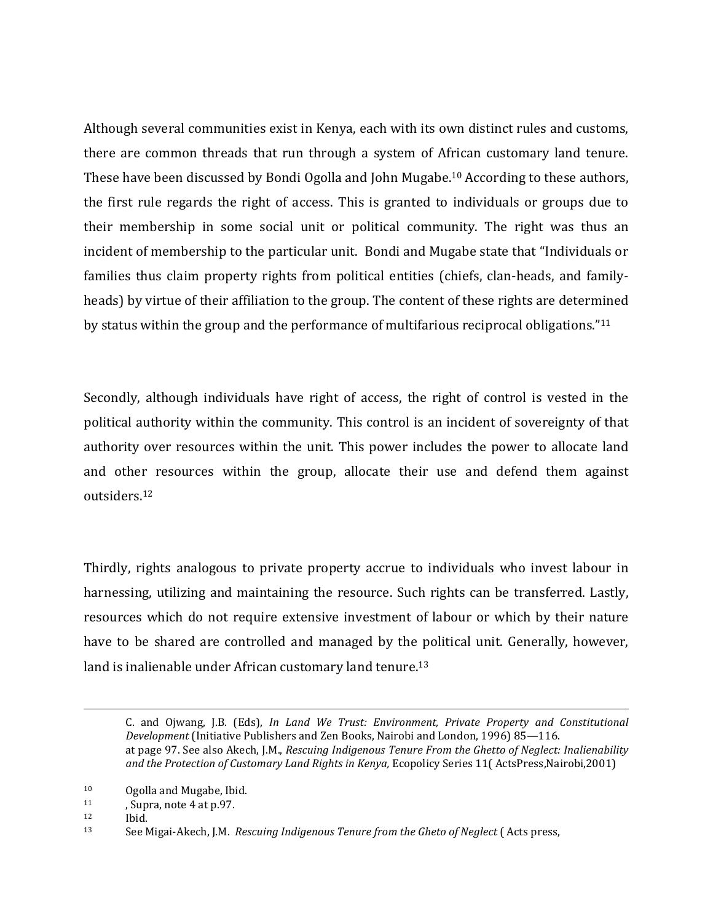Although several communities exist in Kenya, each with its own distinct rules and customs, there are common threads that run through a system of African customary land tenure. These have been discussed by Bondi Ogolla and John Mugabe.10 According to these authors, the first rule regards the right of access. This is granted to individuals or groups due to their membership in some social unit or political community. The right was thus an incident of membership to the particular unit. Bondi and Mugabe state that "Individuals or families thus claim property rights from political entities (chiefs, clan-heads, and familyheads) by virtue of their affiliation to the group. The content of these rights are determined by status within the group and the performance of multifarious reciprocal obligations."<sup>11</sup>

Secondly, although individuals have right of access, the right of control is vested in the political authority within the community. This control is an incident of sovereignty of that authority over resources within the unit. This power includes the power to allocate land and other resources within the group, allocate their use and defend them against outsiders.<sup>12</sup>

Thirdly, rights analogous to private property accrue to individuals who invest labour in harnessing, utilizing and maintaining the resource. Such rights can be transferred. Lastly, resources which do not require extensive investment of labour or which by their nature have to be shared are controlled and managed by the political unit. Generally, however, land is inalienable under African customary land tenure.<sup>13</sup>

C. and Ojwang, J.B. (Eds), *In Land We Trust: Environment, Private Property and Constitutional Development* (Initiative Publishers and Zen Books, Nairobi and London, 1996) 85—116. at page 97. See also Akech, J.M., *Rescuing Indigenous Tenure From the Ghetto of Neglect: Inalienability*  and the Protection of Customary Land Rights in Kenya, Ecopolicy Series 11(ActsPress,Nairobi,2001)

<sup>&</sup>lt;sup>10</sup> Ogolla and Mugabe, Ibid.<br><sup>11</sup> Supra note 4 at p.97

<sup>,</sup> Supra, note 4 at p.97.

<sup>12</sup> Ibid.

<sup>13</sup> See Migai-Akech, J.M. *Rescuing Indigenous Tenure from the Gheto of Neglect* ( Acts press,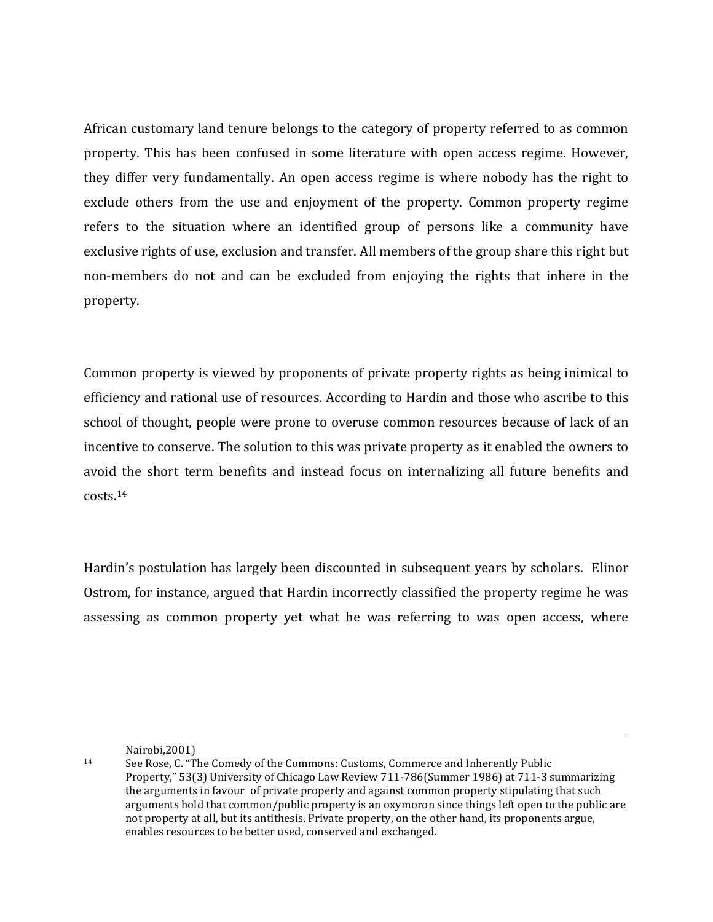African customary land tenure belongs to the category of property referred to as common property. This has been confused in some literature with open access regime. However, they differ very fundamentally. An open access regime is where nobody has the right to exclude others from the use and enjoyment of the property. Common property regime refers to the situation where an identified group of persons like a community have exclusive rights of use, exclusion and transfer. All members of the group share this right but non-members do not and can be excluded from enjoying the rights that inhere in the property.

Common property is viewed by proponents of private property rights as being inimical to efficiency and rational use of resources. According to Hardin and those who ascribe to this school of thought, people were prone to overuse common resources because of lack of an incentive to conserve. The solution to this was private property as it enabled the owners to avoid the short term benefits and instead focus on internalizing all future benefits and costs.<sup>14</sup>

Hardin's postulation has largely been discounted in subsequent years by scholars. Elinor Ostrom, for instance, argued that Hardin incorrectly classified the property regime he was assessing as common property yet what he was referring to was open access, where

Nairobi,2001)

<sup>14</sup> See Rose, C. "The Comedy of the Commons: Customs, Commerce and Inherently Public Property," 53(3) University of Chicago Law Review 711-786(Summer 1986) at 711-3 summarizing the arguments in favour of private property and against common property stipulating that such arguments hold that common/public property is an oxymoron since things left open to the public are not property at all, but its antithesis. Private property, on the other hand, its proponents argue, enables resources to be better used, conserved and exchanged.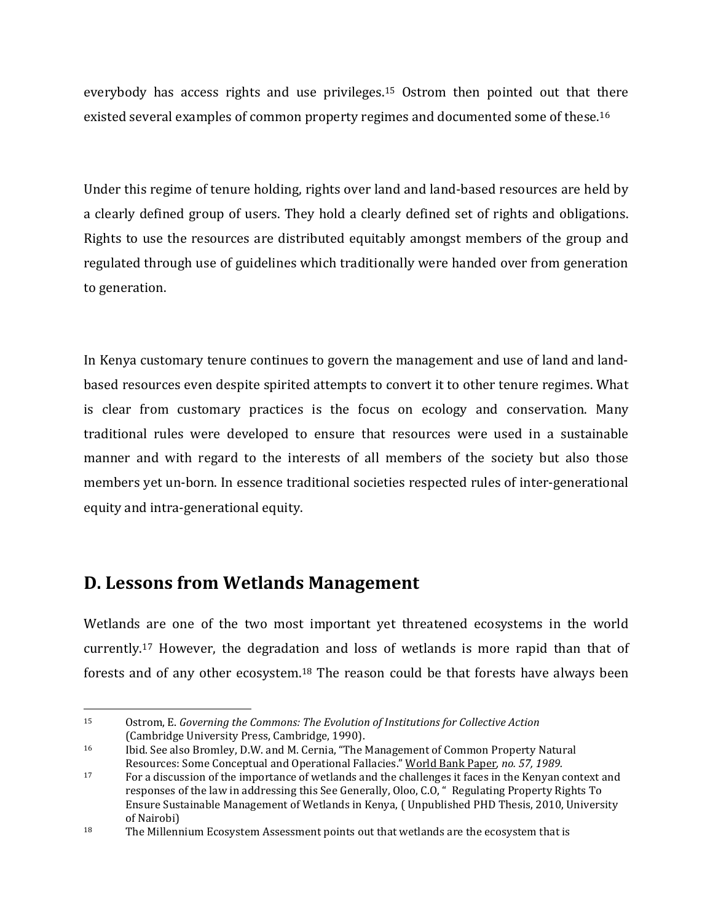everybody has access rights and use privileges.15 Ostrom then pointed out that there existed several examples of common property regimes and documented some of these.<sup>16</sup>

Under this regime of tenure holding, rights over land and land-based resources are held by a clearly defined group of users. They hold a clearly defined set of rights and obligations. Rights to use the resources are distributed equitably amongst members of the group and regulated through use of guidelines which traditionally were handed over from generation to generation.

In Kenya customary tenure continues to govern the management and use of land and landbased resources even despite spirited attempts to convert it to other tenure regimes. What is clear from customary practices is the focus on ecology and conservation. Many traditional rules were developed to ensure that resources were used in a sustainable manner and with regard to the interests of all members of the society but also those members yet un-born. In essence traditional societies respected rules of inter-generational equity and intra-generational equity.

#### **D. Lessons from Wetlands Management**

 $\overline{a}$ 

Wetlands are one of the two most important yet threatened ecosystems in the world currently.17 However, the degradation and loss of wetlands is more rapid than that of forests and of any other ecosystem.18 The reason could be that forests have always been

<sup>15</sup> Ostrom, E. *Governing the Commons: The Evolution of Institutions for Collective Action* (Cambridge University Press, Cambridge, 1990).

<sup>16</sup> Ibid. See also Bromley, D.W. and M. Cernia, "The Management of Common Property Natural Resources: Some Conceptual and Operational Fallacies." World Bank Paper*, no. 57, 1989.*

<sup>17</sup> For a discussion of the importance of wetlands and the challenges it faces in the Kenyan context and responses of the law in addressing this See Generally, Oloo, C.O, " Regulating Property Rights To Ensure Sustainable Management of Wetlands in Kenya, ( Unpublished PHD Thesis, 2010, University of Nairobi)

<sup>&</sup>lt;sup>18</sup> The Millennium Ecosystem Assessment points out that wetlands are the ecosystem that is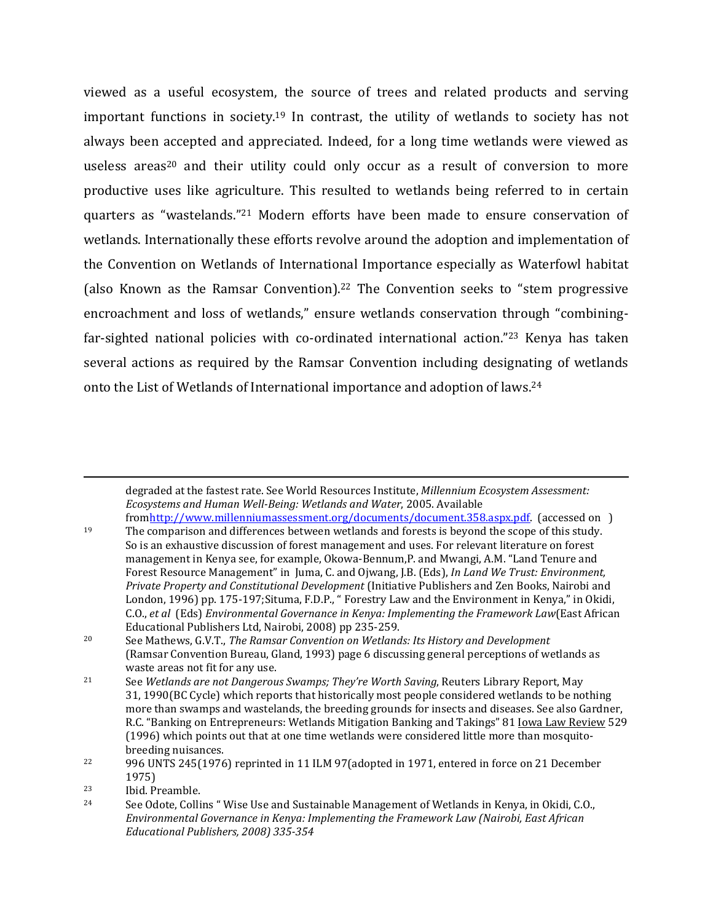viewed as a useful ecosystem, the source of trees and related products and serving important functions in society.19 In contrast, the utility of wetlands to society has not always been accepted and appreciated. Indeed, for a long time wetlands were viewed as useless areas<sup>20</sup> and their utility could only occur as a result of conversion to more productive uses like agriculture. This resulted to wetlands being referred to in certain quarters as "wastelands."21 Modern efforts have been made to ensure conservation of wetlands. Internationally these efforts revolve around the adoption and implementation of the Convention on Wetlands of International Importance especially as Waterfowl habitat (also Known as the Ramsar Convention).<sup>22</sup> The Convention seeks to "stem progressive encroachment and loss of wetlands," ensure wetlands conservation through "combiningfar-sighted national policies with co-ordinated international action."23 Kenya has taken several actions as required by the Ramsar Convention including designating of wetlands onto the List of Wetlands of International importance and adoption of laws.<sup>24</sup>

degraded at the fastest rate. See World Resources Institute, *Millennium Ecosystem Assessment: Ecosystems and Human Well-Being: Wetlands and Water*, 2005. Available

fromhttp://www.millenniumassessment.org/documents/document.358.aspx.pdf. (accessed on ) <sup>19</sup> The comparison and differences between wetlands and forests is beyond the scope of this study. So is an exhaustive discussion of forest management and uses. For relevant literature on forest management in Kenya see, for example, Okowa-Bennum,P. and Mwangi, A.M. "Land Tenure and Forest Resource Management" in Juma, C. and Ojwang, J.B. (Eds), *In Land We Trust: Environment, Private Property and Constitutional Development* (Initiative Publishers and Zen Books, Nairobi and London, 1996) pp. 175-197;Situma, F.D.P., " Forestry Law and the Environment in Kenya," in Okidi, C.O., *et al* (Eds) *Environmental Governance in Kenya: Implementing the Framework Law*(East African Educational Publishers Ltd, Nairobi, 2008) pp 235-259.

<sup>20</sup> See Mathews, G.V.T., *The Ramsar Convention on Wetlands: Its History and Development*  (Ramsar Convention Bureau, Gland, 1993) page 6 discussing general perceptions of wetlands as waste areas not fit for any use.

<sup>21</sup> See *Wetlands are not Dangerous Swamps; They're Worth Saving*, Reuters Library Report, May 31, 1990(BC Cycle) which reports that historically most people considered wetlands to be nothing more than swamps and wastelands, the breeding grounds for insects and diseases. See also Gardner, R.C. "Banking on Entrepreneurs: Wetlands Mitigation Banking and Takings" 81 <u>Iowa Law Review</u> 529 (1996) which points out that at one time wetlands were considered little more than mosquitobreeding nuisances.

<sup>22</sup> 996 UNTS 245(1976) reprinted in 11 ILM 97(adopted in 1971, entered in force on 21 December 1975)

<sup>&</sup>lt;sup>23</sup> Ibid. Preamble.<br><sup>24</sup> Soo Odoto Colli

<sup>24</sup> See Odote, Collins " Wise Use and Sustainable Management of Wetlands in Kenya, in Okidi, C.O., *Environmental Governance in Kenya: Implementing the Framework Law (Nairobi, East African Educational Publishers, 2008) 335-354*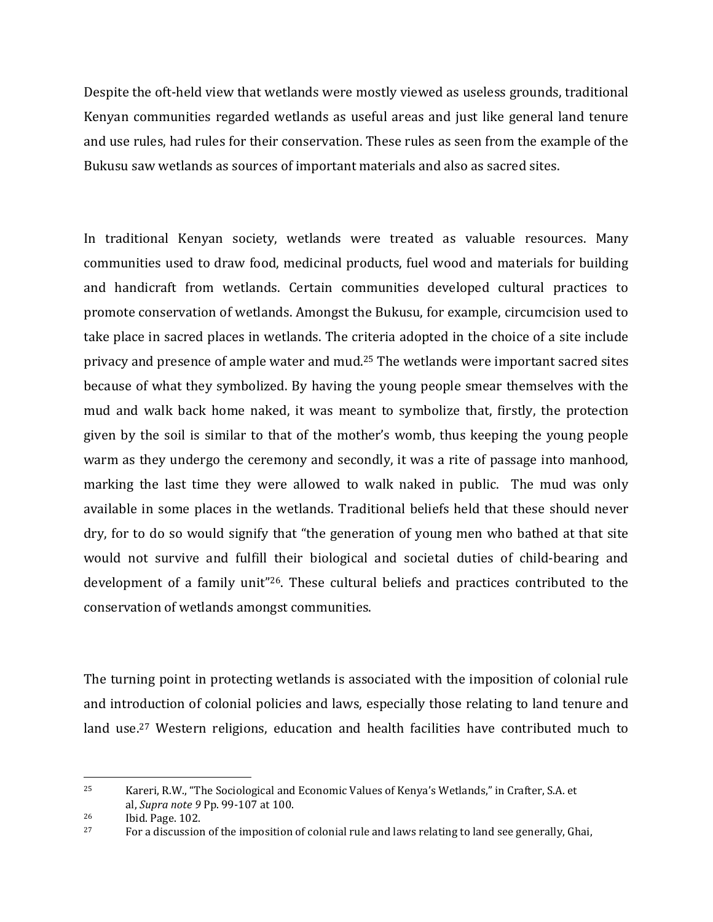Despite the oft-held view that wetlands were mostly viewed as useless grounds, traditional Kenyan communities regarded wetlands as useful areas and just like general land tenure and use rules, had rules for their conservation. These rules as seen from the example of the Bukusu saw wetlands as sources of important materials and also as sacred sites.

In traditional Kenyan society, wetlands were treated as valuable resources. Many communities used to draw food, medicinal products, fuel wood and materials for building and handicraft from wetlands. Certain communities developed cultural practices to promote conservation of wetlands. Amongst the Bukusu, for example, circumcision used to take place in sacred places in wetlands. The criteria adopted in the choice of a site include privacy and presence of ample water and mud.25 The wetlands were important sacred sites because of what they symbolized. By having the young people smear themselves with the mud and walk back home naked, it was meant to symbolize that, firstly, the protection given by the soil is similar to that of the mother's womb, thus keeping the young people warm as they undergo the ceremony and secondly, it was a rite of passage into manhood, marking the last time they were allowed to walk naked in public. The mud was only available in some places in the wetlands. Traditional beliefs held that these should never dry, for to do so would signify that "the generation of young men who bathed at that site would not survive and fulfill their biological and societal duties of child-bearing and development of a family unit"26. These cultural beliefs and practices contributed to the conservation of wetlands amongst communities.

The turning point in protecting wetlands is associated with the imposition of colonial rule and introduction of colonial policies and laws, especially those relating to land tenure and land use.<sup>27</sup> Western religions, education and health facilities have contributed much to

<sup>25</sup> Kareri, R.W., "The Sociological and Economic Values of Kenya's Wetlands," in Crafter, S.A. et al, *Supra note 9* Pp. 99-107 at 100.

<sup>26</sup> Ibid. Page. 102.

<sup>&</sup>lt;sup>27</sup> For a discussion of the imposition of colonial rule and laws relating to land see generally, Ghai,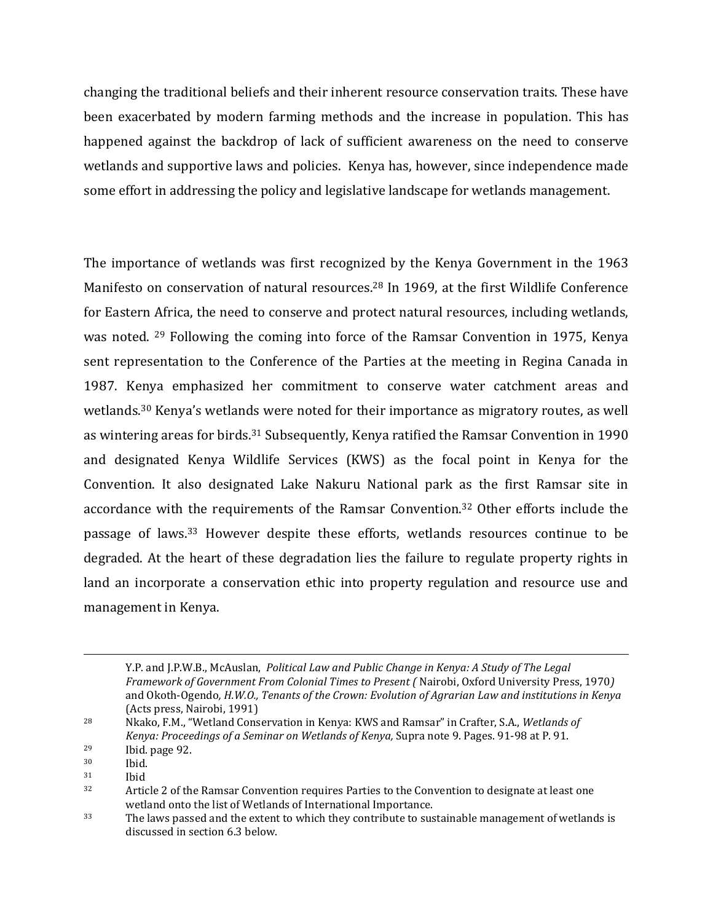changing the traditional beliefs and their inherent resource conservation traits. These have been exacerbated by modern farming methods and the increase in population. This has happened against the backdrop of lack of sufficient awareness on the need to conserve wetlands and supportive laws and policies. Kenya has, however, since independence made some effort in addressing the policy and legislative landscape for wetlands management.

The importance of wetlands was first recognized by the Kenya Government in the 1963 Manifesto on conservation of natural resources.28 In 1969, at the first Wildlife Conference for Eastern Africa, the need to conserve and protect natural resources, including wetlands, was noted. 29 Following the coming into force of the Ramsar Convention in 1975, Kenya sent representation to the Conference of the Parties at the meeting in Regina Canada in 1987. Kenya emphasized her commitment to conserve water catchment areas and wetlands.30 Kenya's wetlands were noted for their importance as migratory routes, as well as wintering areas for birds.31 Subsequently, Kenya ratified the Ramsar Convention in 1990 and designated Kenya Wildlife Services (KWS) as the focal point in Kenya for the Convention. It also designated Lake Nakuru National park as the first Ramsar site in accordance with the requirements of the Ramsar Convention.32 Other efforts include the passage of laws.33 However despite these efforts, wetlands resources continue to be degraded. At the heart of these degradation lies the failure to regulate property rights in land an incorporate a conservation ethic into property regulation and resource use and management in Kenya.

Y.P. and J.P.W.B., McAuslan, *Political Law and Public Change in Kenya: A Study of The Legal Framework of Government From Colonial Times to Present (* Nairobi, Oxford University Press, 1970*)*  and Okoth-Ogendo*, H.W.O., Tenants of the Crown: Evolution of Agrarian Law and institutions in Kenya* (Acts press, Nairobi, 1991)

<sup>28</sup> Nkako, F.M., "Wetland Conservation in Kenya: KWS and Ramsar" in Crafter, S.A., *Wetlands of Kenya: Proceedings of a Seminar on Wetlands of Kenya,* Supra note 9. Pages. 91-98 at P. 91. <sup>29</sup> Ibid. page 92.

 $30$  Ibid.<br> $31$  Ibid. <sup>31</sup> Ibid

<sup>&</sup>lt;sup>32</sup> Article 2 of the Ramsar Convention requires Parties to the Convention to designate at least one wetland onto the list of Wetlands of International Importance.

<sup>&</sup>lt;sup>33</sup> The laws passed and the extent to which they contribute to sustainable management of wetlands is discussed in section 6.3 below.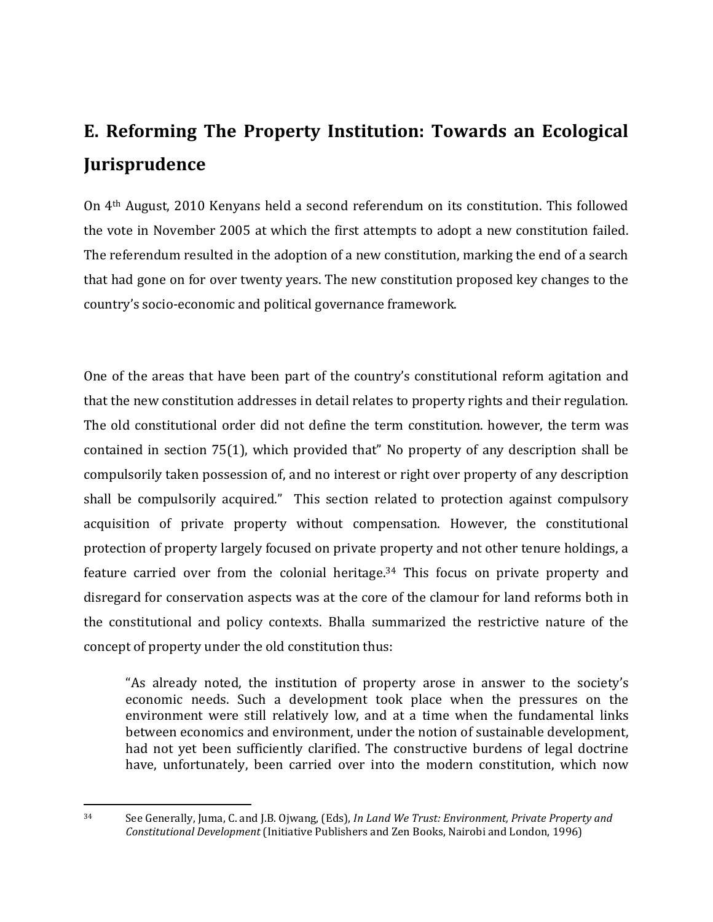## **E. Reforming The Property Institution: Towards an Ecological Jurisprudence**

On 4th August, 2010 Kenyans held a second referendum on its constitution. This followed the vote in November 2005 at which the first attempts to adopt a new constitution failed. The referendum resulted in the adoption of a new constitution, marking the end of a search that had gone on for over twenty years. The new constitution proposed key changes to the country's socio-economic and political governance framework.

One of the areas that have been part of the country's constitutional reform agitation and that the new constitution addresses in detail relates to property rights and their regulation. The old constitutional order did not define the term constitution. however, the term was contained in section 75(1), which provided that" No property of any description shall be compulsorily taken possession of, and no interest or right over property of any description shall be compulsorily acquired." This section related to protection against compulsory acquisition of private property without compensation. However, the constitutional protection of property largely focused on private property and not other tenure holdings, a feature carried over from the colonial heritage.34 This focus on private property and disregard for conservation aspects was at the core of the clamour for land reforms both in the constitutional and policy contexts. Bhalla summarized the restrictive nature of the concept of property under the old constitution thus:

"As already noted, the institution of property arose in answer to the society's economic needs. Such a development took place when the pressures on the environment were still relatively low, and at a time when the fundamental links between economics and environment, under the notion of sustainable development, had not yet been sufficiently clarified. The constructive burdens of legal doctrine have, unfortunately, been carried over into the modern constitution, which now

<sup>34</sup> See Generally, Juma, C. and J.B. Ojwang, (Eds), *In Land We Trust: Environment, Private Property and Constitutional Development* (Initiative Publishers and Zen Books, Nairobi and London, 1996)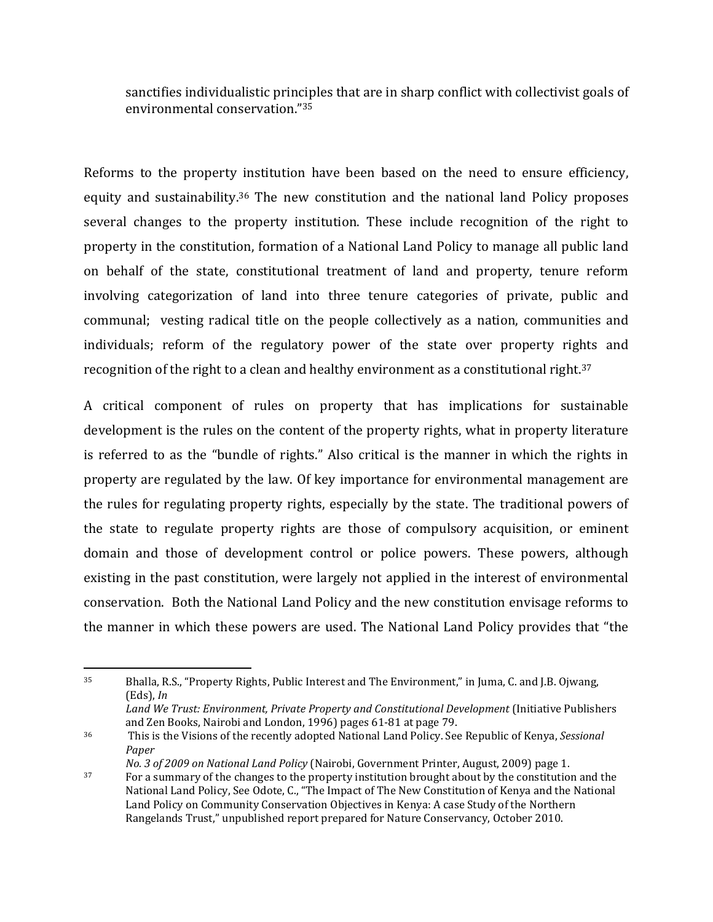sanctifies individualistic principles that are in sharp conflict with collectivist goals of environmental conservation."<sup>35</sup>

Reforms to the property institution have been based on the need to ensure efficiency, equity and sustainability.36 The new constitution and the national land Policy proposes several changes to the property institution. These include recognition of the right to property in the constitution, formation of a National Land Policy to manage all public land on behalf of the state, constitutional treatment of land and property, tenure reform involving categorization of land into three tenure categories of private, public and communal; vesting radical title on the people collectively as a nation, communities and individuals; reform of the regulatory power of the state over property rights and recognition of the right to a clean and healthy environment as a constitutional right.<sup>37</sup>

A critical component of rules on property that has implications for sustainable development is the rules on the content of the property rights, what in property literature is referred to as the "bundle of rights." Also critical is the manner in which the rights in property are regulated by the law. Of key importance for environmental management are the rules for regulating property rights, especially by the state. The traditional powers of the state to regulate property rights are those of compulsory acquisition, or eminent domain and those of development control or police powers. These powers, although existing in the past constitution, were largely not applied in the interest of environmental conservation. Both the National Land Policy and the new constitution envisage reforms to the manner in which these powers are used. The National Land Policy provides that "the

<sup>35</sup> Bhalla, R.S., "Property Rights, Public Interest and The Environment," in Juma, C. and J.B. Ojwang, (Eds), *In* 

Land We Trust: Environment, Private Property and Constitutional Development (Initiative Publishers and Zen Books, Nairobi and London, 1996) pages 61-81 at page 79.

<sup>36</sup> This is the Visions of the recently adopted National Land Policy. See Republic of Kenya, *Sessional Paper* 

*No. 3 of 2009 on National Land Policy* (Nairobi, Government Printer, August, 2009) page 1.

<sup>37</sup> For a summary of the changes to the property institution brought about by the constitution and the National Land Policy, See Odote, C., "The Impact of The New Constitution of Kenya and the National Land Policy on Community Conservation Objectives in Kenya: A case Study of the Northern Rangelands Trust," unpublished report prepared for Nature Conservancy, October 2010.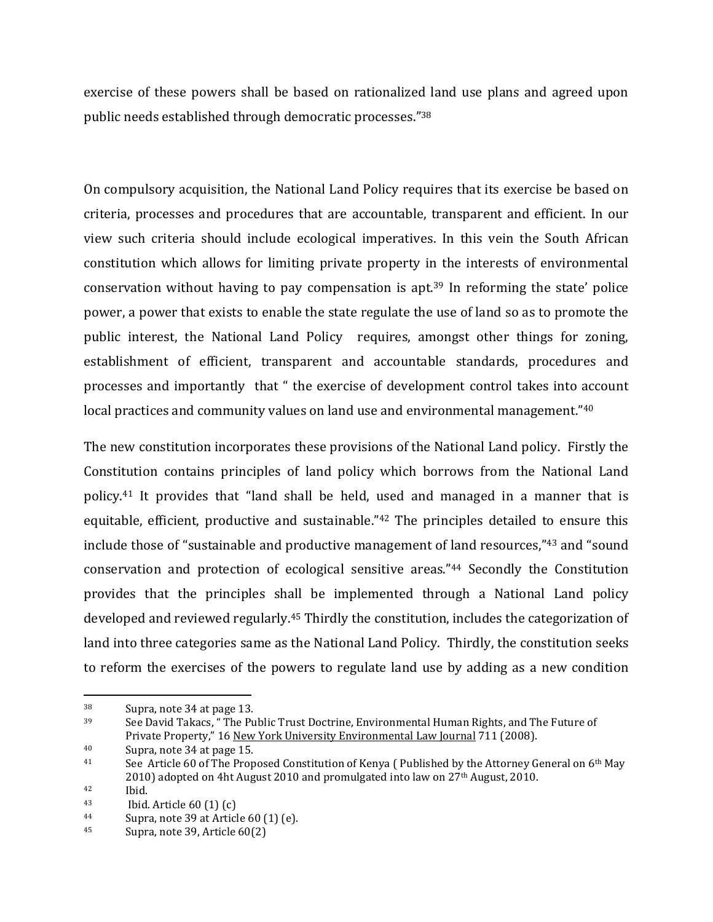exercise of these powers shall be based on rationalized land use plans and agreed upon public needs established through democratic processes."<sup>38</sup>

On compulsory acquisition, the National Land Policy requires that its exercise be based on criteria, processes and procedures that are accountable, transparent and efficient. In our view such criteria should include ecological imperatives. In this vein the South African constitution which allows for limiting private property in the interests of environmental conservation without having to pay compensation is apt.39 In reforming the state' police power, a power that exists to enable the state regulate the use of land so as to promote the public interest, the National Land Policy requires, amongst other things for zoning, establishment of efficient, transparent and accountable standards, procedures and processes and importantly that " the exercise of development control takes into account local practices and community values on land use and environmental management."40

The new constitution incorporates these provisions of the National Land policy. Firstly the Constitution contains principles of land policy which borrows from the National Land policy.41 It provides that "land shall be held, used and managed in a manner that is equitable, efficient, productive and sustainable."42 The principles detailed to ensure this include those of "sustainable and productive management of land resources,"43 and "sound conservation and protection of ecological sensitive areas."44 Secondly the Constitution provides that the principles shall be implemented through a National Land policy developed and reviewed regularly.45 Thirdly the constitution, includes the categorization of land into three categories same as the National Land Policy. Thirdly, the constitution seeks to reform the exercises of the powers to regulate land use by adding as a new condition

<sup>38</sup> Supra, note 34 at page 13.

<sup>39</sup> See David Takacs, " The Public Trust Doctrine, Environmental Human Rights, and The Future of Private Property," 16 New York University Environmental Law Journal 711 (2008).

<sup>40</sup> Supra, note 34 at page 15.

<sup>41</sup> See Article 60 of The Proposed Constitution of Kenya ( Published by the Attorney General on 6th May 2010) adopted on 4ht August 2010 and promulgated into law on 27<sup>th</sup> August, 2010.

<sup>42</sup> Ibid.<br>43 Ibid.

Ibid. Article  $60(1)(c)$ 

<sup>44</sup> Supra, note 39 at Article 60 (1) (e).

<sup>45</sup> Supra, note 39, Article 60(2)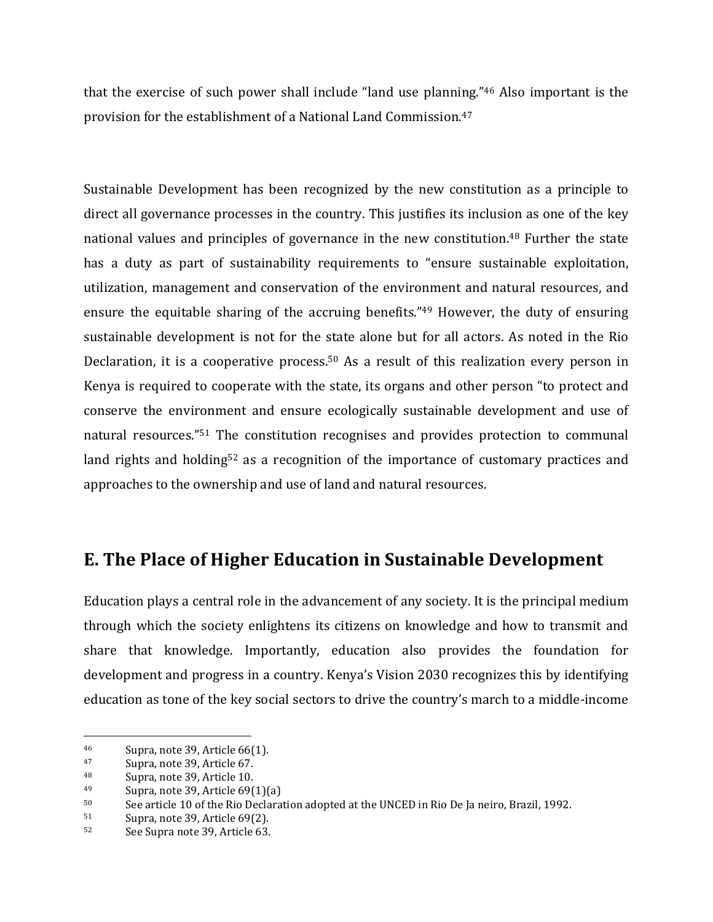that the exercise of such power shall include "land use planning."46 Also important is the provision for the establishment of a National Land Commission.<sup>47</sup>

Sustainable Development has been recognized by the new constitution as a principle to direct all governance processes in the country. This justifies its inclusion as one of the key national values and principles of governance in the new constitution.<sup>48</sup> Further the state has a duty as part of sustainability requirements to "ensure sustainable exploitation, utilization, management and conservation of the environment and natural resources, and ensure the equitable sharing of the accruing benefits."49 However, the duty of ensuring sustainable development is not for the state alone but for all actors. As noted in the Rio Declaration, it is a cooperative process.<sup>50</sup> As a result of this realization every person in Kenya is required to cooperate with the state, its organs and other person "to protect and conserve the environment and ensure ecologically sustainable development and use of natural resources."51 The constitution recognises and provides protection to communal land rights and holding<sup>52</sup> as a recognition of the importance of customary practices and approaches to the ownership and use of land and natural resources.

#### **E. The Place of Higher Education in Sustainable Development**

Education plays a central role in the advancement of any society. It is the principal medium through which the society enlightens its citizens on knowledge and how to transmit and share that knowledge. Importantly, education also provides the foundation for development and progress in a country. Kenya's Vision 2030 recognizes this by identifying education as tone of the key social sectors to drive the country's march to a middle-income

<sup>46</sup> Supra, note 39, Article 66(1).

 $\frac{47}{48}$  Supra, note 39, Article 67.<br> $\frac{48}{48}$  Supra, note 39, Article 10.

Supra, note 39, Article 10.

<sup>&</sup>lt;sup>49</sup> Supra, note 39, Article 69(1)(a)<br><sup>50</sup> See article 10 of the Rio Declara

See article 10 of the Rio Declaration adopted at the UNCED in Rio De Ja neiro, Brazil, 1992.

<sup>51</sup> Supra, note 39, Article 69(2).

<sup>52</sup> See Supra note 39, Article 63.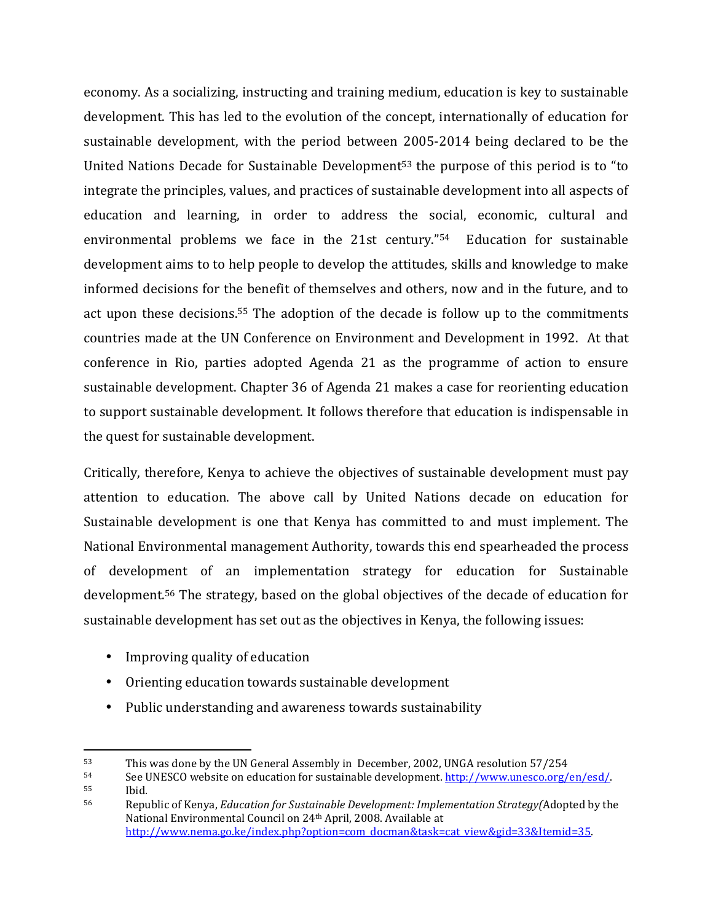economy. As a socializing, instructing and training medium, education is key to sustainable development. This has led to the evolution of the concept, internationally of education for sustainable development, with the period between 2005-2014 being declared to be the United Nations Decade for Sustainable Development<sup>53</sup> the purpose of this period is to "to integrate the principles, values, and practices of sustainable development into all aspects of education and learning, in order to address the social, economic, cultural and environmental problems we face in the 21st century." <sup>54</sup> Education for sustainable development aims to to help people to develop the attitudes, skills and knowledge to make informed decisions for the benefit of themselves and others, now and in the future, and to act upon these decisions.55 The adoption of the decade is follow up to the commitments countries made at the UN Conference on Environment and Development in 1992. At that conference in Rio, parties adopted Agenda 21 as the programme of action to ensure sustainable development. Chapter 36 of Agenda 21 makes a case for reorienting education to support sustainable development. It follows therefore that education is indispensable in the quest for sustainable development.

Critically, therefore, Kenya to achieve the objectives of sustainable development must pay attention to education. The above call by United Nations decade on education for Sustainable development is one that Kenya has committed to and must implement. The National Environmental management Authority, towards this end spearheaded the process of development of an implementation strategy for education for Sustainable development.56 The strategy, based on the global objectives of the decade of education for sustainable development has set out as the objectives in Kenya, the following issues:

• Improving quality of education

- Orienting education towards sustainable development
- Public understanding and awareness towards sustainability

 $53$  This was done by the UN General Assembly in December, 2002, UNGA resolution 57/254<br> $54$  See UNESCO website on education for sustainable development, http://www.unesco.org/

See UNESCO website on education for sustainable development. http://www.unesco.org/en/esd/. <sup>55</sup> Ibid.

<sup>56</sup> Republic of Kenya, *Education for Sustainable Development: Implementation Strategy(*Adopted by the National Environmental Council on 24th April, 2008. Available at http://www.nema.go.ke/index.php?option=com\_docman&task=cat\_view&gid=33&Itemid=35.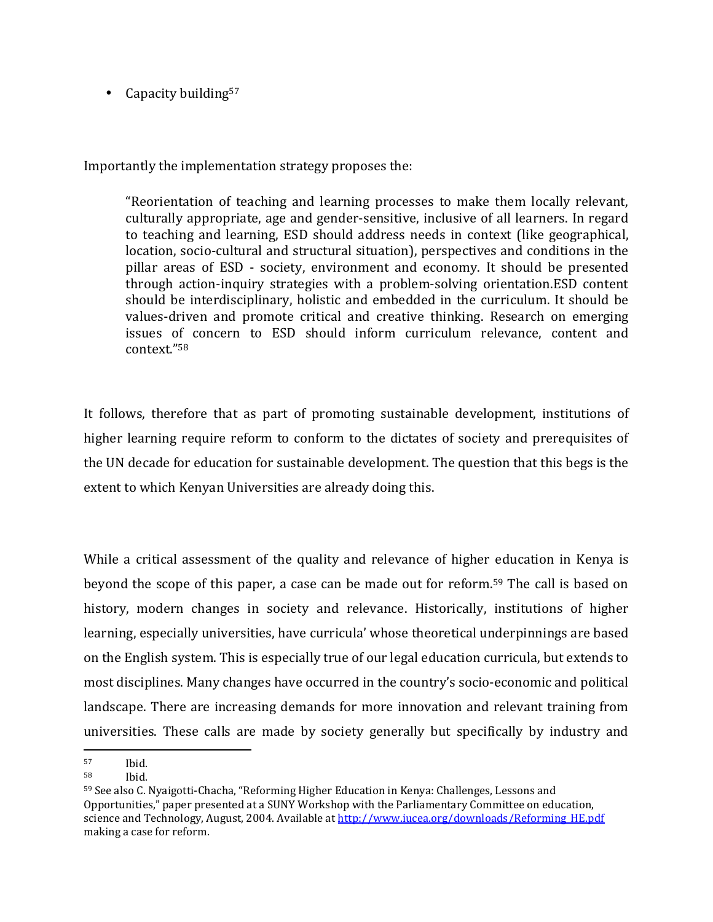• Capacity building<sup>57</sup>

Importantly the implementation strategy proposes the:

"Reorientation of teaching and learning processes to make them locally relevant, culturally appropriate, age and gender-sensitive, inclusive of all learners. In regard to teaching and learning, ESD should address needs in context (like geographical, location, socio-cultural and structural situation), perspectives and conditions in the pillar areas of ESD - society, environment and economy. It should be presented through action-inquiry strategies with a problem-solving orientation.ESD content should be interdisciplinary, holistic and embedded in the curriculum. It should be values-driven and promote critical and creative thinking. Research on emerging issues of concern to ESD should inform curriculum relevance, content and context."<sup>58</sup>

It follows, therefore that as part of promoting sustainable development, institutions of higher learning require reform to conform to the dictates of society and prerequisites of the UN decade for education for sustainable development. The question that this begs is the extent to which Kenyan Universities are already doing this.

While a critical assessment of the quality and relevance of higher education in Kenya is beyond the scope of this paper, a case can be made out for reform.59 The call is based on history, modern changes in society and relevance. Historically, institutions of higher learning, especially universities, have curricula' whose theoretical underpinnings are based on the English system. This is especially true of our legal education curricula, but extends to most disciplines. Many changes have occurred in the country's socio-economic and political landscape. There are increasing demands for more innovation and relevant training from universities. These calls are made by society generally but specifically by industry and  $\overline{a}$ 

 $\begin{array}{cc} 57 & \text{Ibid.} \\ 58 & \text{Ibid.} \end{array}$ 

Ibid.

<sup>59</sup> See also C. Nyaigotti-Chacha, "Reforming Higher Education in Kenya: Challenges, Lessons and Opportunities," paper presented at a SUNY Workshop with the Parliamentary Committee on education, science and Technology, August, 2004. Available at http://www.iucea.org/downloads/Reforming\_HE.pdf making a case for reform.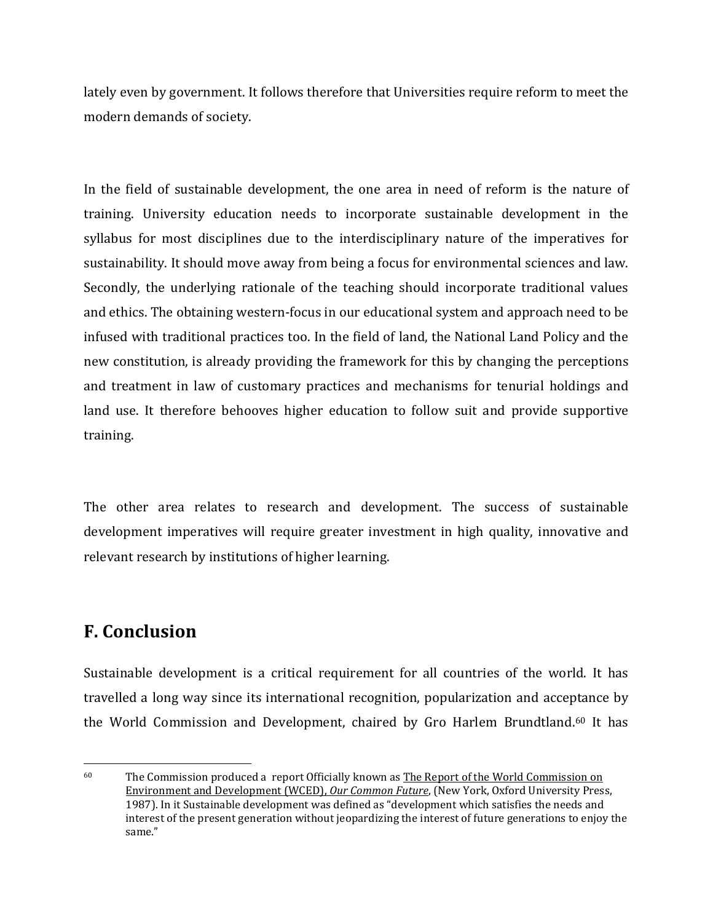lately even by government. It follows therefore that Universities require reform to meet the modern demands of society.

In the field of sustainable development, the one area in need of reform is the nature of training. University education needs to incorporate sustainable development in the syllabus for most disciplines due to the interdisciplinary nature of the imperatives for sustainability. It should move away from being a focus for environmental sciences and law. Secondly, the underlying rationale of the teaching should incorporate traditional values and ethics. The obtaining western-focus in our educational system and approach need to be infused with traditional practices too. In the field of land, the National Land Policy and the new constitution, is already providing the framework for this by changing the perceptions and treatment in law of customary practices and mechanisms for tenurial holdings and land use. It therefore behooves higher education to follow suit and provide supportive training.

The other area relates to research and development. The success of sustainable development imperatives will require greater investment in high quality, innovative and relevant research by institutions of higher learning.

### **F. Conclusion**

 $\overline{a}$ 

Sustainable development is a critical requirement for all countries of the world. It has travelled a long way since its international recognition, popularization and acceptance by the World Commission and Development, chaired by Gro Harlem Brundtland.60 It has

 $60$  The Commission produced a report Officially known as The Report of the World Commission on Environment and Development (WCED), *Our Common Future*, (New York, Oxford University Press, 1987). In it Sustainable development was defined as "development which satisfies the needs and interest of the present generation without jeopardizing the interest of future generations to enjoy the same."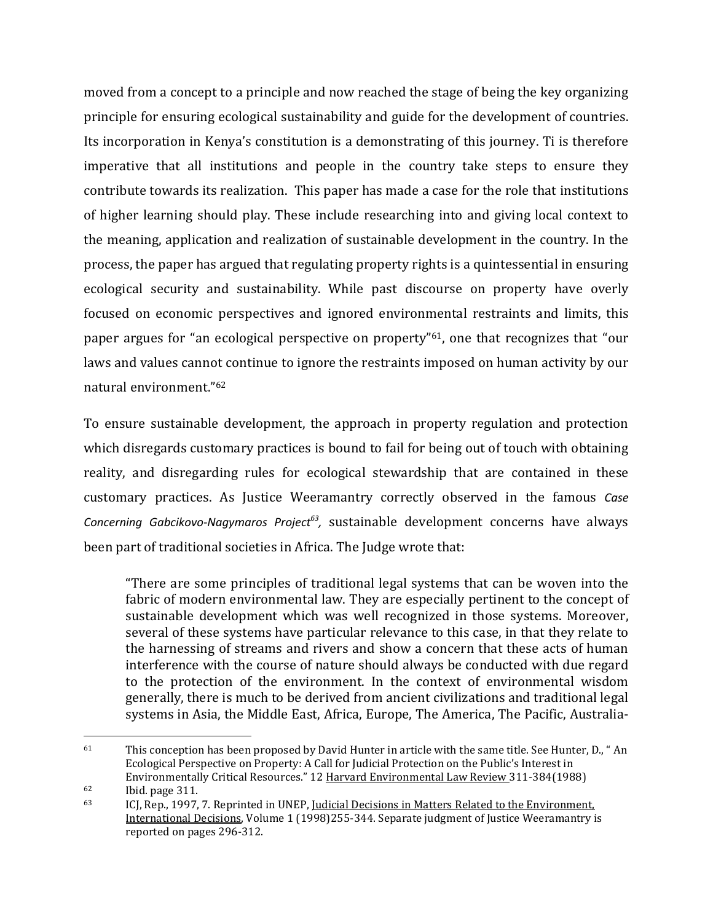moved from a concept to a principle and now reached the stage of being the key organizing principle for ensuring ecological sustainability and guide for the development of countries. Its incorporation in Kenya's constitution is a demonstrating of this journey. Ti is therefore imperative that all institutions and people in the country take steps to ensure they contribute towards its realization. This paper has made a case for the role that institutions of higher learning should play. These include researching into and giving local context to the meaning, application and realization of sustainable development in the country. In the process, the paper has argued that regulating property rights is a quintessential in ensuring ecological security and sustainability. While past discourse on property have overly focused on economic perspectives and ignored environmental restraints and limits, this paper argues for "an ecological perspective on property"61, one that recognizes that "our laws and values cannot continue to ignore the restraints imposed on human activity by our natural environment."<sup>62</sup>

To ensure sustainable development, the approach in property regulation and protection which disregards customary practices is bound to fail for being out of touch with obtaining reality, and disregarding rules for ecological stewardship that are contained in these customary practices. As Justice Weeramantry correctly observed in the famous *Case Concerning Gabcikovo-Nagymaros Project<sup>63</sup> ,* sustainable development concerns have always been part of traditional societies in Africa. The Judge wrote that:

"There are some principles of traditional legal systems that can be woven into the fabric of modern environmental law. They are especially pertinent to the concept of sustainable development which was well recognized in those systems. Moreover, several of these systems have particular relevance to this case, in that they relate to the harnessing of streams and rivers and show a concern that these acts of human interference with the course of nature should always be conducted with due regard to the protection of the environment. In the context of environmental wisdom generally, there is much to be derived from ancient civilizations and traditional legal systems in Asia, the Middle East, Africa, Europe, The America, The Pacific, Australia-

<sup>61</sup> This conception has been proposed by David Hunter in article with the same title. See Hunter, D., " An Ecological Perspective on Property: A Call for Judicial Protection on the Public's Interest in Environmentally Critical Resources." 12 Harvard Environmental Law Review 311-384(1988)

 $^{62}$  Ibid. page 311.<br> $^{63}$  ICI Ren 1997

ICJ, Rep., 1997, 7. Reprinted in UNEP, *Judicial Decisions in Matters Related to the Environment*, International Decisions, Volume 1 (1998)255-344. Separate judgment of Justice Weeramantry is reported on pages 296-312.